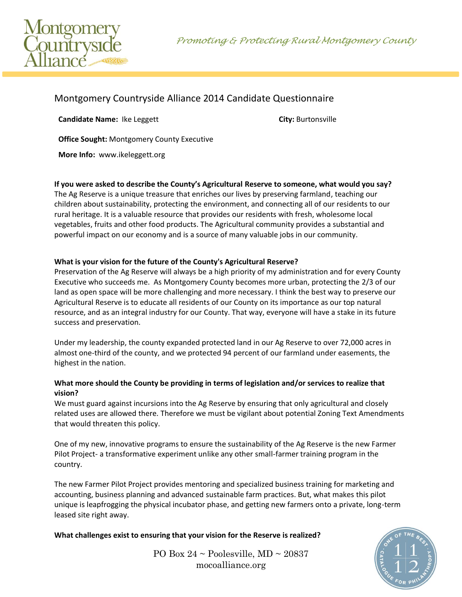



# Montgomery Countryside Alliance 2014 Candidate Questionnaire

**Candidate Name:** Ike Leggett **City:** Burtonsville

**Office Sought:** Montgomery County Executive

**More Info:** www.ikeleggett.org

**If you were asked to describe the County's Agricultural Reserve to someone, what would you say?**

The Ag Reserve is a unique treasure that enriches our lives by preserving farmland, teaching our children about sustainability, protecting the environment, and connecting all of our residents to our rural heritage. It is a valuable resource that provides our residents with fresh, wholesome local vegetables, fruits and other food products. The Agricultural community provides a substantial and powerful impact on our economy and is a source of many valuable jobs in our community.

#### **What is your vision for the future of the County's Agricultural Reserve?**

Preservation of the Ag Reserve will always be a high priority of my administration and for every County Executive who succeeds me. As Montgomery County becomes more urban, protecting the 2/3 of our land as open space will be more challenging and more necessary. I think the best way to preserve our Agricultural Reserve is to educate all residents of our County on its importance as our top natural resource, and as an integral industry for our County. That way, everyone will have a stake in its future success and preservation.

Under my leadership, the county expanded protected land in our Ag Reserve to over 72,000 acres in almost one-third of the county, and we protected 94 percent of our farmland under easements, the highest in the nation.

#### **What more should the County be providing in terms of legislation and/or services to realize that vision?**

We must guard against incursions into the Ag Reserve by ensuring that only agricultural and closely related uses are allowed there. Therefore we must be vigilant about potential Zoning Text Amendments that would threaten this policy.

One of my new, innovative programs to ensure the sustainability of the Ag Reserve is the new Farmer Pilot Project- a transformative experiment unlike any other small-farmer training program in the country.

The new Farmer Pilot Project provides mentoring and specialized business training for marketing and accounting, business planning and advanced sustainable farm practices. But, what makes this pilot unique is leapfrogging the physical incubator phase, and getting new farmers onto a private, long-term leased site right away.

**What challenges exist to ensuring that your vision for the Reserve is realized?** 

PO Box  $24 \sim$  Poolesville, MD  $\sim$  20837 mocoalliance.org